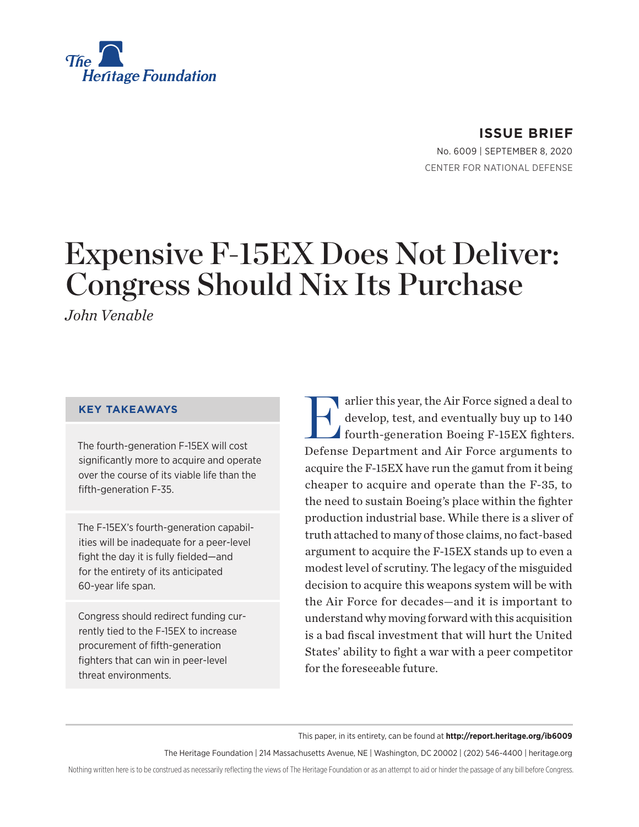

**ISSUE BRIEF**

No. 6009 | September 8, 2020 CENTER FOR NATIONAL DEFENSE

# Expensive F-15EX Does Not Deliver: Congress Should Nix Its Purchase

*John Venable*

#### **KEY TAKEAWAYS**

The fourth-generation F-15EX will cost significantly more to acquire and operate over the course of its viable life than the fifth-generation F-35.

The F-15EX's fourth-generation capabilities will be inadequate for a peer-level fight the day it is fully fielded—and for the entirety of its anticipated 60-year life span.

Congress should redirect funding currently tied to the F-15EX to increase procurement of fifth-generation fighters that can win in peer-level threat environments.

Farlier this year, the Air Force signed a deal to<br>develop, test, and eventually buy up to 140<br>fourth-generation Boeing F-15EX fighters. develop, test, and eventually buy up to 140 fourth-generation Boeing F-15EX fighters. Defense Department and Air Force arguments to acquire the F-15EX have run the gamut from it being cheaper to acquire and operate than the F-35, to the need to sustain Boeing's place within the fighter production industrial base. While there is a sliver of truth attached to many of those claims, no fact-based argument to acquire the F-15EX stands up to even a modest level of scrutiny. The legacy of the misguided decision to acquire this weapons system will be with the Air Force for decades—and it is important to understand why moving forward with this acquisition is a bad fiscal investment that will hurt the United States' ability to fight a war with a peer competitor for the foreseeable future.

This paper, in its entirety, can be found at **http://report.heritage.org/ib6009**

The Heritage Foundation | 214 Massachusetts Avenue, NE | Washington, DC 20002 | (202) 546-4400 | heritage.org

Nothing written here is to be construed as necessarily reflecting the views of The Heritage Foundation or as an attempt to aid or hinder the passage of any bill before Congress.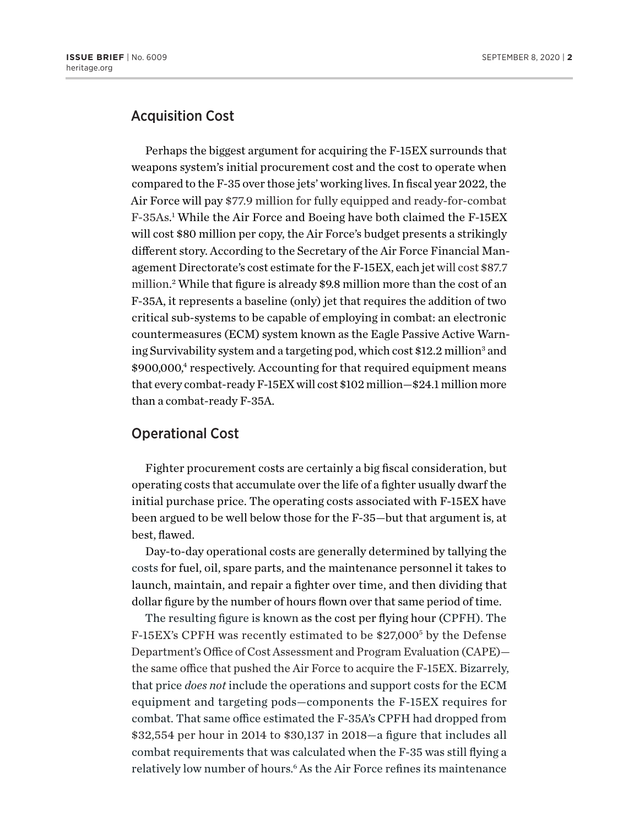## Acquisition Cost

Perhaps the biggest argument for acquiring the F-15EX surrounds that weapons system's initial procurement cost and the cost to operate when compared to the F-35 over those jets' working lives. In fiscal year 2022, the Air Force will pay \$77.9 million for fully equipped and ready-for-combat F-35As. 1 While the Air Force and Boeing have both claimed the F-15EX will cost \$80 million per copy, the Air Force's budget presents a strikingly different story. According to the Secretary of the Air Force Financial Management Directorate's cost estimate for the F-15EX, each jet will cost \$87.7 million. 2 While that figure is already \$9.8 million more than the cost of an F-35A, it represents a baseline (only) jet that requires the addition of two critical sub-systems to be capable of employing in combat: an electronic countermeasures (ECM) system known as the Eagle Passive Active Warning Survivability system and a targeting pod, which cost \$12.2 million<sup>3</sup> and \$900,000,<sup>4</sup> respectively. Accounting for that required equipment means that every combat-ready F-15EX will cost \$102 million—\$24.1 million more than a combat-ready F-35A.

#### Operational Cost

Fighter procurement costs are certainly a big fiscal consideration, but operating costs that accumulate over the life of a fighter usually dwarf the initial purchase price. The operating costs associated with F-15EX have been argued to be well below those for the F-35—but that argument is, at best, flawed.

Day-to-day operational costs are generally determined by tallying the costs for fuel, oil, spare parts, and the maintenance personnel it takes to launch, maintain, and repair a fighter over time, and then dividing that dollar figure by the number of hours flown over that same period of time.

The resulting figure is known as the cost per flying hour (CPFH). The F-15EX's CPFH was recently estimated to be \$27,000<sup>5</sup> by the Defense Department's Office of Cost Assessment and Program Evaluation (CAPE) the same office that pushed the Air Force to acquire the F-15EX. Bizarrely, that price *does not* include the operations and support costs for the ECM equipment and targeting pods—components the F-15EX requires for combat. That same office estimated the F-35A's CPFH had dropped from \$32,554 per hour in 2014 to \$30,137 in 2018—a figure that includes all combat requirements that was calculated when the F-35 was still flying a relatively low number of hours.6 As the Air Force refines its maintenance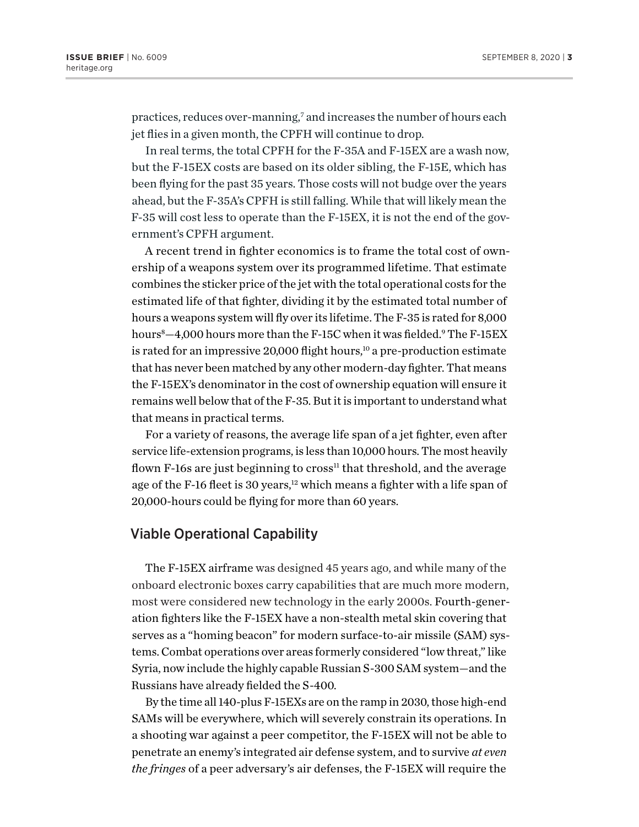practices, reduces over-manning,<sup>7</sup> and increases the number of hours each jet flies in a given month, the CPFH will continue to drop.

In real terms, the total CPFH for the F-35A and F-15EX are a wash now, but the F-15EX costs are based on its older sibling, the F-15E, which has been flying for the past 35 years. Those costs will not budge over the years ahead, but the F-35A's CPFH is still falling. While that will likely mean the F-35 will cost less to operate than the F-15EX, it is not the end of the government's CPFH argument.

A recent trend in fighter economics is to frame the total cost of ownership of a weapons system over its programmed lifetime. That estimate combines the sticker price of the jet with the total operational costs for the estimated life of that fighter, dividing it by the estimated total number of hours a weapons system will fly over its lifetime. The F-35 is rated for 8,000 hours8 —4,000 hours more than the F-15C when it was fielded.9 The F-15EX is rated for an impressive 20,000 flight hours,<sup>10</sup> a pre-production estimate that has never been matched by any other modern-day fighter. That means the F-15EX's denominator in the cost of ownership equation will ensure it remains well below that of the F-35. But it is important to understand what that means in practical terms.

For a variety of reasons, the average life span of a jet fighter, even after service life-extension programs, is less than 10,000 hours. The most heavily flown F-16s are just beginning to cross<sup>11</sup> that threshold, and the average age of the F-16 fleet is 30 years,<sup>12</sup> which means a fighter with a life span of 20,000-hours could be flying for more than 60 years.

### Viable Operational Capability

The F-15EX airframe was designed 45 years ago, and while many of the onboard electronic boxes carry capabilities that are much more modern, most were considered new technology in the early 2000s. Fourth-generation fighters like the F-15EX have a non-stealth metal skin covering that serves as a "homing beacon" for modern surface-to-air missile (SAM) systems. Combat operations over areas formerly considered "low threat," like Syria, now include the highly capable Russian S-300 SAM system—and the Russians have already fielded the S-400.

By the time all 140-plus F-15EXs are on the ramp in 2030, those high-end SAMs will be everywhere, which will severely constrain its operations. In a shooting war against a peer competitor, the F-15EX will not be able to penetrate an enemy's integrated air defense system, and to survive *at even the fringes* of a peer adversary's air defenses, the F-15EX will require the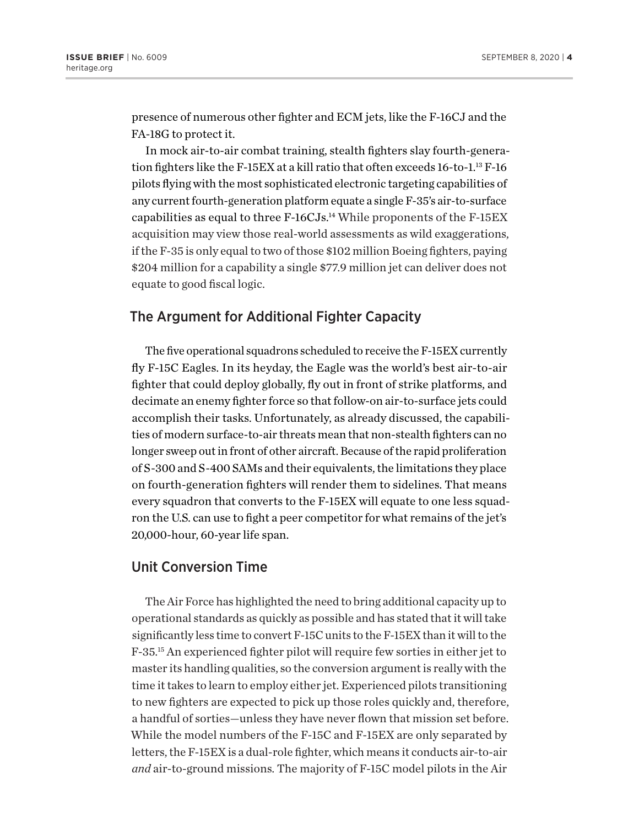presence of numerous other fighter and ECM jets, like the F-16CJ and the FA-18G to protect it.

In mock air-to-air combat training, stealth fighters slay fourth-generation fighters like the F-15EX at a kill ratio that often exceeds 16-to-1.<sup>13</sup> F-16 pilots flying with the most sophisticated electronic targeting capabilities of any current fourth-generation platform equate a single F-35's air-to-surface capabilities as equal to three F-16CJs.<sup>14</sup> While proponents of the F-15EX acquisition may view those real-world assessments as wild exaggerations, if the F-35 is only equal to two of those \$102 million Boeing fighters, paying \$204 million for a capability a single \$77.9 million jet can deliver does not equate to good fiscal logic.

### The Argument for Additional Fighter Capacity

The five operational squadrons scheduled to receive the F-15EX currently fly F-15C Eagles. In its heyday, the Eagle was the world's best air-to-air fighter that could deploy globally, fly out in front of strike platforms, and decimate an enemy fighter force so that follow-on air-to-surface jets could accomplish their tasks. Unfortunately, as already discussed, the capabilities of modern surface-to-air threats mean that non-stealth fighters can no longer sweep out in front of other aircraft. Because of the rapid proliferation of S-300 and S-400 SAMs and their equivalents, the limitations they place on fourth-generation fighters will render them to sidelines. That means every squadron that converts to the F-15EX will equate to one less squadron the U.S. can use to fight a peer competitor for what remains of the jet's 20,000-hour, 60-year life span.

## Unit Conversion Time

The Air Force has highlighted the need to bring additional capacity up to operational standards as quickly as possible and has stated that it will take significantly less time to convert F-15C units to the F-15EX than it will to the F-35.15 An experienced fighter pilot will require few sorties in either jet to master its handling qualities, so the conversion argument is really with the time it takes to learn to employ either jet. Experienced pilots transitioning to new fighters are expected to pick up those roles quickly and, therefore, a handful of sorties—unless they have never flown that mission set before. While the model numbers of the F-15C and F-15EX are only separated by letters, the F-15EX is a dual-role fighter, which means it conducts air-to-air *and* air-to-ground missions. The majority of F-15C model pilots in the Air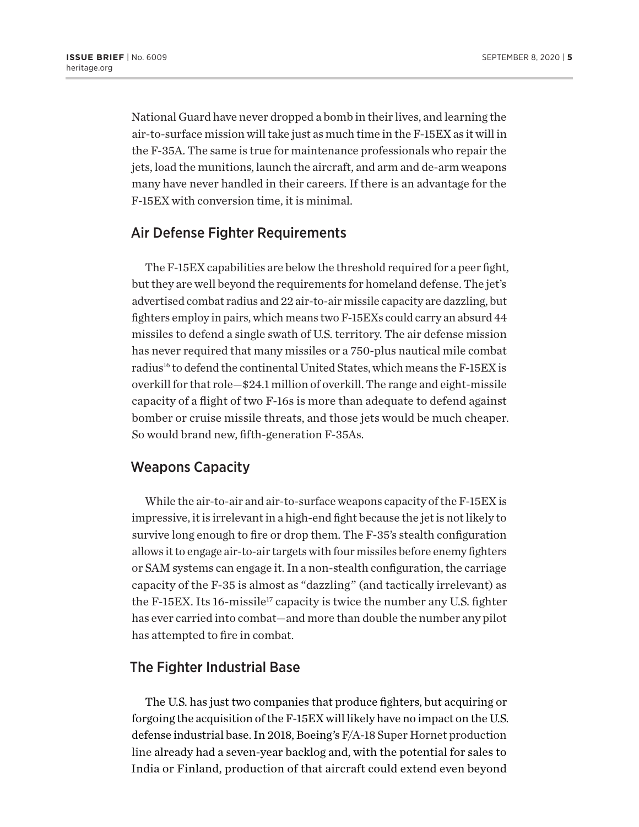National Guard have never dropped a bomb in their lives, and learning the air-to-surface mission will take just as much time in the F-15EX as it will in the F-35A. The same is true for maintenance professionals who repair the jets, load the munitions, launch the aircraft, and arm and de-arm weapons many have never handled in their careers. If there is an advantage for the F-15EX with conversion time, it is minimal.

### Air Defense Fighter Requirements

The F-15EX capabilities are below the threshold required for a peer fight, but they are well beyond the requirements for homeland defense. The jet's advertised combat radius and 22 air-to-air missile capacity are dazzling, but fighters employ in pairs, which means two F-15EXs could carry an absurd 44 missiles to defend a single swath of U.S. territory. The air defense mission has never required that many missiles or a 750-plus nautical mile combat radius<sup>16</sup> to defend the continental United States, which means the F-15EX is overkill for that role—\$24.1 million of overkill. The range and eight-missile capacity of a flight of two F-16s is more than adequate to defend against bomber or cruise missile threats, and those jets would be much cheaper. So would brand new, fifth-generation F-35As.

### Weapons Capacity

While the air-to-air and air-to-surface weapons capacity of the F-15EX is impressive, it is irrelevant in a high-end fight because the jet is not likely to survive long enough to fire or drop them. The F-35's stealth configuration allows it to engage air-to-air targets with four missiles before enemy fighters or SAM systems can engage it. In a non-stealth configuration, the carriage capacity of the F-35 is almost as "dazzling" (and tactically irrelevant) as the F-15EX. Its 16-missile<sup>17</sup> capacity is twice the number any U.S. fighter has ever carried into combat—and more than double the number any pilot has attempted to fire in combat.

### The Fighter Industrial Base

The U.S. has just two companies that produce fighters, but acquiring or forgoing the acquisition of the F-15EX will likely have no impact on the U.S. defense industrial base. In 2018, Boeing's F/A-18 Super Hornet production line already had a seven-year backlog and, with the potential for sales to India or Finland, production of that aircraft could extend even beyond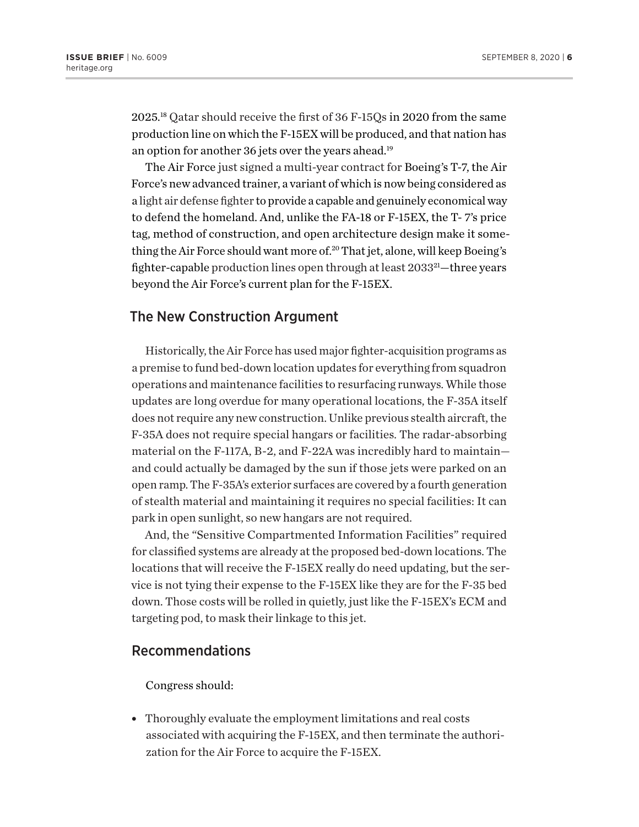2025.18 Qatar should receive the first of 36 F-15Qs in 2020 from the same production line on which the F-15EX will be produced, and that nation has an option for another 36 jets over the years ahead.<sup>19</sup>

The Air Force just signed a multi-year contract for Boeing's T-7, the Air Force's new advanced trainer, a variant of which is now being considered as a light air defense fighter to provide a capable and genuinely economical way to defend the homeland. And, unlike the FA-18 or F-15EX, the T- 7's price tag, method of construction, and open architecture design make it something the Air Force should want more of.<sup>20</sup> That jet, alone, will keep Boeing's fighter-capable production lines open through at least 2033<sup>21</sup>—three years beyond the Air Force's current plan for the F-15EX.

#### The New Construction Argument

Historically, the Air Force has used major fighter-acquisition programs as a premise to fund bed-down location updates for everything from squadron operations and maintenance facilities to resurfacing runways. While those updates are long overdue for many operational locations, the F-35A itself does not require any new construction. Unlike previous stealth aircraft, the F-35A does not require special hangars or facilities. The radar-absorbing material on the F-117A, B-2, and F-22A was incredibly hard to maintain and could actually be damaged by the sun if those jets were parked on an open ramp. The F-35A's exterior surfaces are covered by a fourth generation of stealth material and maintaining it requires no special facilities: It can park in open sunlight, so new hangars are not required.

And, the "Sensitive Compartmented Information Facilities" required for classified systems are already at the proposed bed-down locations. The locations that will receive the F-15EX really do need updating, but the service is not tying their expense to the F-15EX like they are for the F-35 bed down. Those costs will be rolled in quietly, just like the F-15EX's ECM and targeting pod, to mask their linkage to this jet.

### Recommendations

Congress should:

• Thoroughly evaluate the employment limitations and real costs associated with acquiring the F-15EX, and then terminate the authorization for the Air Force to acquire the F-15EX.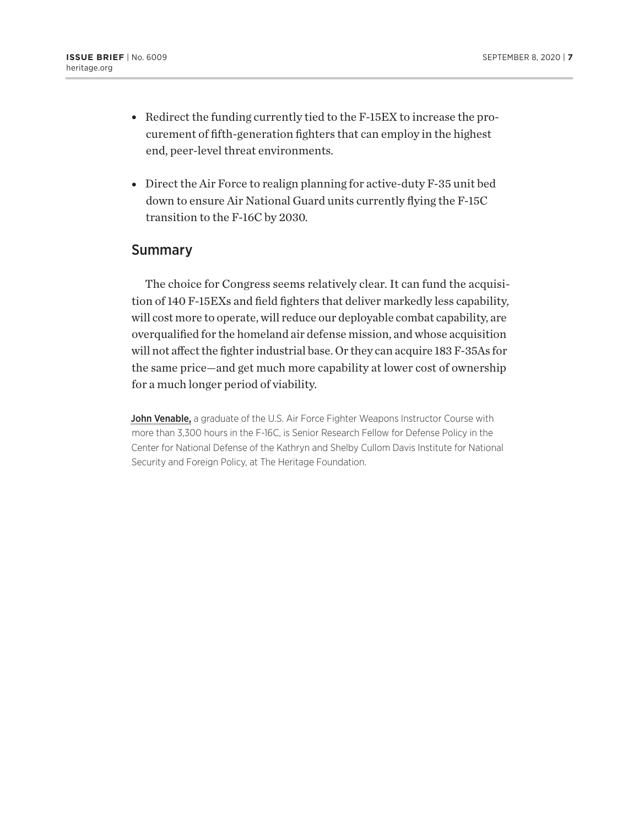- $\bullet$  Redirect the funding currently tied to the F-15EX to increase the procurement of fifth-generation fighters that can employ in the highest end, peer-level threat environments.
- Direct the Air Force to realign planning for active-duty F-35 unit bed down to ensure Air National Guard units currently flying the F-15C transition to the F-16C by 2030.

#### Summary

The choice for Congress seems relatively clear. It can fund the acquisition of 140 F-15EXs and field fighters that deliver markedly less capability, will cost more to operate, will reduce our deployable combat capability, are overqualified for the homeland air defense mission, and whose acquisition will not affect the fighter industrial base. Or they can acquire 183 F-35As for the same price—and get much more capability at lower cost of ownership for a much longer period of viability.

John Venable, a graduate of the U.S. Air Force Fighter Weapons Instructor Course with more than 3,300 hours in the F-16C, is Senior Research Fellow for Defense Policy in the Center for National Defense of the Kathryn and Shelby Cullom Davis Institute for National Security and Foreign Policy, at The Heritage Foundation.